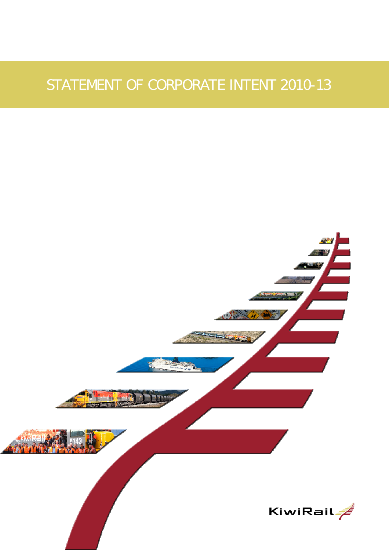# STATEMENT OF CORPORATE INTENT 2010-13

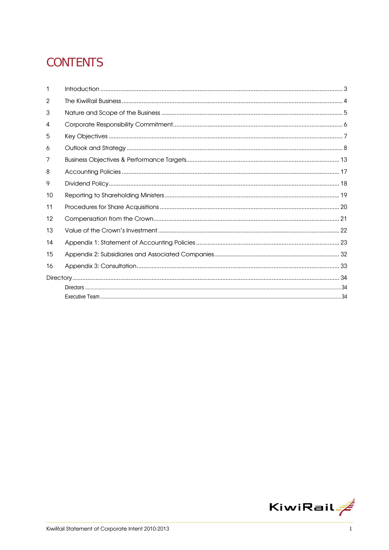# **CONTENTS**

| 1              |  |
|----------------|--|
| $\overline{2}$ |  |
| 3              |  |
| 4              |  |
| 5              |  |
| 6              |  |
| 7              |  |
| 8              |  |
| 9              |  |
| 10             |  |
| 11             |  |
| 12             |  |
| 13             |  |
| 14             |  |
| 15             |  |
| 16             |  |
|                |  |
|                |  |
|                |  |

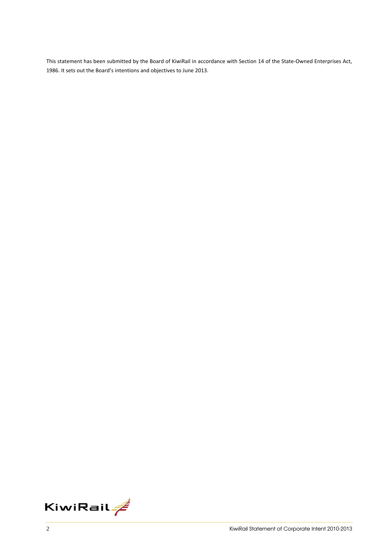This statement has been submitted by the Board of KiwiRail in accordance with Section 14 of the State‐Owned Enterprises Act, 1986. It sets out the Board's intentions and objectives to June 2013.

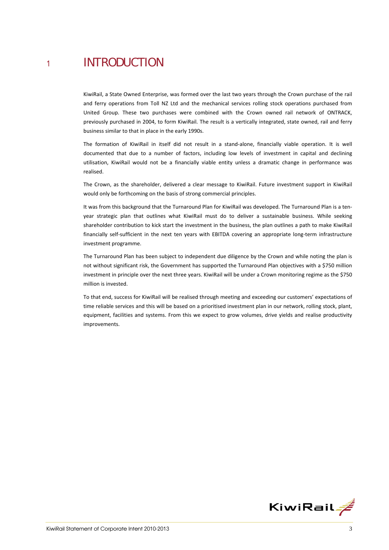## <sup>1</sup> INTRODUCTION

KiwiRail, a State Owned Enterprise, was formed over the last two years through the Crown purchase of the rail and ferry operations from Toll NZ Ltd and the mechanical services rolling stock operations purchased from United Group. These two purchases were combined with the Crown owned rail network of ONTRACK, previously purchased in 2004, to form KiwiRail. The result is a vertically integrated, state owned, rail and ferry business similar to that in place in the early 1990s.

The formation of KiwiRail in itself did not result in a stand‐alone, financially viable operation. It is well documented that due to a number of factors, including low levels of investment in capital and declining utilisation, KiwiRail would not be a financially viable entity unless a dramatic change in performance was realised.

The Crown, as the shareholder, delivered a clear message to KiwiRail. Future investment support in KiwiRail would only be forthcoming on the basis of strong commercial principles.

It was from this background that the Turnaround Plan for KiwiRail was developed. The Turnaround Plan is a tenyear strategic plan that outlines what KiwiRail must do to deliver a sustainable business. While seeking shareholder contribution to kick start the investment in the business, the plan outlines a path to make KiwiRail financially self-sufficient in the next ten years with EBITDA covering an appropriate long-term infrastructure investment programme.

The Turnaround Plan has been subject to independent due diligence by the Crown and while noting the plan is not without significant risk, the Government has supported the Turnaround Plan objectives with a \$750 million investment in principle over the next three years. KiwiRail will be under a Crown monitoring regime as the \$750 million is invested.

To that end, success for KiwiRail will be realised through meeting and exceeding our customers' expectations of time reliable services and this will be based on a prioritised investment plan in our network, rolling stock, plant, equipment, facilities and systems. From this we expect to grow volumes, drive yields and realise productivity improvements.

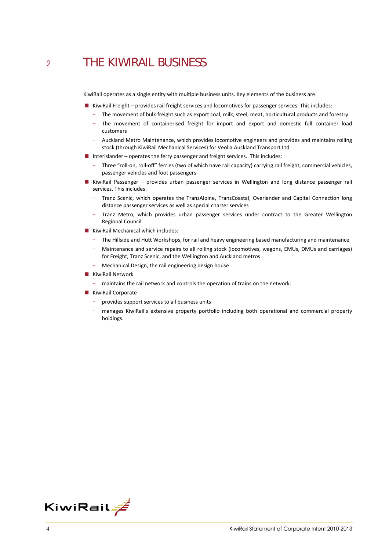## <sup>2</sup> THE KIWIRAIL BUSINESS

KiwiRail operates as a single entity with multiple business units. Key elements of the business are:

- KiwiRail Freight provides rail freight services and locomotives for passenger services. This includes:
	- The movement of bulk freight such as export coal, milk, steel, meat, horticultural products and forestry
	- The movement of containerised freight for import and export and domestic full container load customers
	- Auckland Metro Maintenance, which provides locomotive engineers and provides and maintains rolling stock (through KiwiRail Mechanical Services) for Veolia Auckland Transport Ltd
- Interislander operates the ferry passenger and freight services. This includes:
	- Three "roll‐on, roll‐off" ferries (two of which have rail capacity) carrying rail freight, commercial vehicles, passenger vehicles and foot passengers
- KiwiRail Passenger provides urban passenger services in Wellington and long distance passenger rail services. This includes:
	- Tranz Scenic, which operates the TranzAlpine, TranzCoastal, Overlander and Capital Connection long distance passenger services as well as special charter services
	- Tranz Metro, which provides urban passenger services under contract to the Greater Wellington Regional Council
- **KiwiRail Mechanical which includes:** 
	- The Hillside and Hutt Workshops, for rail and heavy engineering based manufacturing and maintenance
	- Maintenance and service repairs to all rolling stock (locomotives, wagons, EMUs, DMUs and carriages) for Freight, Tranz Scenic, and the Wellington and Auckland metros
	- Mechanical Design, the rail engineering design house
- **KiwiRail Network** 
	- maintains the rail network and controls the operation of trains on the network.
- **KiwiRail Corporate** 
	- provides support services to all business units
	- manages KiwiRail's extensive property portfolio including both operational and commercial property holdings.

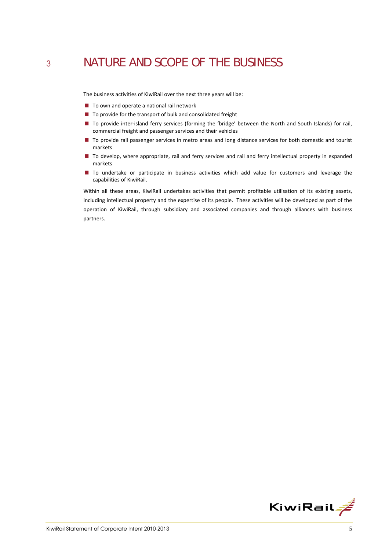## <sup>3</sup> NATURE AND SCOPE OF THE BUSINESS

The business activities of KiwiRail over the next three years will be:

- To own and operate a national rail network
- $\blacksquare$  To provide for the transport of bulk and consolidated freight
- To provide inter-island ferry services (forming the 'bridge' between the North and South Islands) for rail, commercial freight and passenger services and their vehicles
- To provide rail passenger services in metro areas and long distance services for both domestic and tourist markets
- To develop, where appropriate, rail and ferry services and rail and ferry intellectual property in expanded markets
- $\blacksquare$  To undertake or participate in business activities which add value for customers and leverage the capabilities of KiwiRail.

Within all these areas, KiwiRail undertakes activities that permit profitable utilisation of its existing assets, including intellectual property and the expertise of its people. These activities will be developed as part of the operation of KiwiRail, through subsidiary and associated companies and through alliances with business partners.

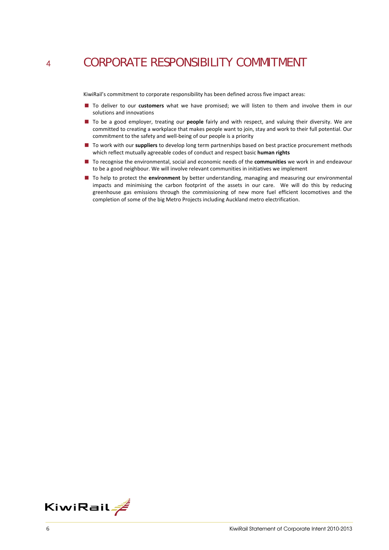## <sup>4</sup> CORPORATE RESPONSIBILITY COMMITMENT

KiwiRail's commitment to corporate responsibility has been defined across five impact areas:

- To deliver to our **customers** what we have promised; we will listen to them and involve them in our solutions and innovations
- To be a good employer, treating our **people** fairly and with respect, and valuing their diversity. We are committed to creating a workplace that makes people want to join, stay and work to their full potential. Our commitment to the safety and well‐being of our people is a priority
- To work with our **suppliers** to develop long term partnerships based on best practice procurement methods which reflect mutually agreeable codes of conduct and respect basic **human rights**
- To recognise the environmental, social and economic needs of the **communities** we work in and endeavour to be a good neighbour. We will involve relevant communities in initiatives we implement
- To help to protect the **environment** by better understanding, managing and measuring our environmental impacts and minimising the carbon footprint of the assets in our care. We will do this by reducing greenhouse gas emissions through the commissioning of new more fuel efficient locomotives and the completion of some of the big Metro Projects including Auckland metro electrification.

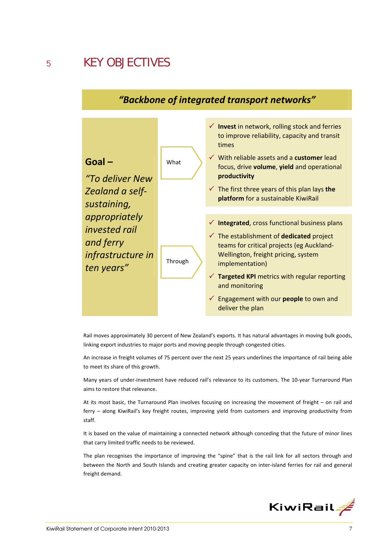

### *"Backbone of integrated transport networks"*

Rail moves approximately 30 percent of New Zealand's exports. It has natural advantages in moving bulk goods, linking export industries to major ports and moving people through congested cities.

An increase in freight volumes of 75 percent over the next 25 years underlines the importance of rail being able to meet its share of this growth.

Many years of under‐investment have reduced rail's relevance to its customers. The 10‐year Turnaround Plan aims to restore that relevance.

At its most basic, the Turnaround Plan involves focusing on increasing the movement of freight – on rail and ferry – along KiwiRail's key freight routes, improving yield from customers and improving productivity from staff.

It is based on the value of maintaining a connected network although conceding that the future of minor lines that carry limited traffic needs to be reviewed.

The plan recognises the importance of improving the "spine" that is the rail link for all sectors through and between the North and South Islands and creating greater capacity on inter‐island ferries for rail and general freight demand.

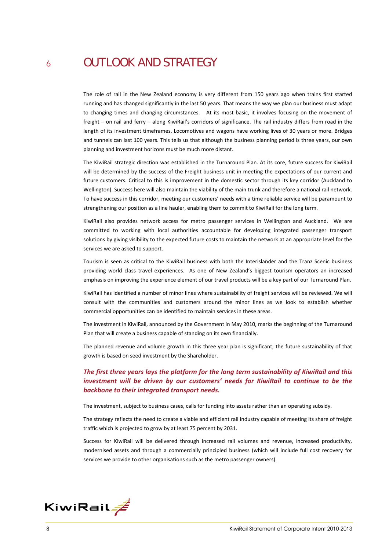## <sup>6</sup> OUTLOOK AND STRATEGY

The role of rail in the New Zealand economy is very different from 150 years ago when trains first started running and has changed significantly in the last 50 years. That means the way we plan our business must adapt to changing times and changing circumstances. At its most basic, it involves focusing on the movement of freight – on rail and ferry – along KiwiRail's corridors of significance. The rail industry differs from road in the length of its investment timeframes. Locomotives and wagons have working lives of 30 years or more. Bridges and tunnels can last 100 years. This tells us that although the business planning period is three years, our own planning and investment horizons must be much more distant.

The KiwiRail strategic direction was established in the Turnaround Plan. At its core, future success for KiwiRail will be determined by the success of the Freight business unit in meeting the expectations of our current and future customers. Critical to this is improvement in the domestic sector through its key corridor (Auckland to Wellington). Success here will also maintain the viability of the main trunk and therefore a national rail network. To have success in this corridor, meeting our customers' needs with a time reliable service will be paramount to strengthening our position as a line hauler, enabling them to commit to KiwiRail for the long term.

KiwiRail also provides network access for metro passenger services in Wellington and Auckland. We are committed to working with local authorities accountable for developing integrated passenger transport solutions by giving visibility to the expected future costs to maintain the network at an appropriate level for the services we are asked to support.

Tourism is seen as critical to the KiwiRail business with both the Interislander and the Tranz Scenic business providing world class travel experiences. As one of New Zealand's biggest tourism operators an increased emphasis on improving the experience element of our travel products will be a key part of our Turnaround Plan.

KiwiRail has identified a number of minor lines where sustainability of freight services will be reviewed. We will consult with the communities and customers around the minor lines as we look to establish whether commercial opportunities can be identified to maintain services in these areas.

The investment in KiwiRail, announced by the Government in May 2010, marks the beginning of the Turnaround Plan that will create a business capable of standing on its own financially.

The planned revenue and volume growth in this three year plan is significant; the future sustainability of that growth is based on seed investment by the Shareholder.

### *The first three years lays the platform for the long term sustainability of KiwiRail and this investment will be driven by our customers' needs for KiwiRail to continue to be the backbone to their integrated transport needs.*

The investment, subject to business cases, calls for funding into assets rather than an operating subsidy.

The strategy reflects the need to create a viable and efficient rail industry capable of meeting its share of freight traffic which is projected to grow by at least 75 percent by 2031.

Success for KiwiRail will be delivered through increased rail volumes and revenue, increased productivity, modernised assets and through a commercially principled business (which will include full cost recovery for services we provide to other organisations such as the metro passenger owners).

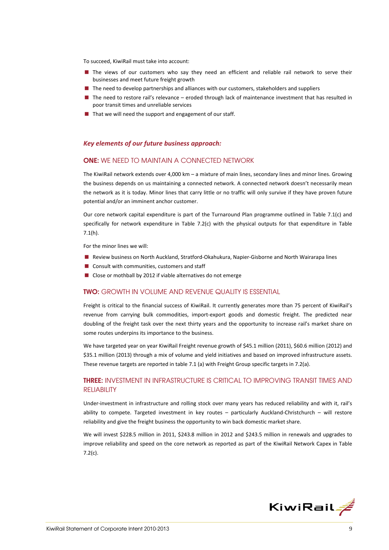To succeed, KiwiRail must take into account:

- **The views of our customers who say they need an efficient and reliable rail network to serve their** businesses and meet future freight growth
- **The need to develop partnerships and alliances with our customers, stakeholders and suppliers**
- $\blacksquare$  The need to restore rail's relevance eroded through lack of maintenance investment that has resulted in poor transit times and unreliable services
- $\blacksquare$  That we will need the support and engagement of our staff.

#### *Key elements of our future business approach:*

### ONE: WE NEED TO MAINTAIN A CONNECTED NETWORK

The KiwiRail network extends over 4,000 km – a mixture of main lines, secondary lines and minor lines. Growing the business depends on us maintaining a connected network. A connected network doesn't necessarily mean the network as it is today. Minor lines that carry little or no traffic will only survive if they have proven future potential and/or an imminent anchor customer.

Our core network capital expenditure is part of the Turnaround Plan programme outlined in Table 7.1(c) and specifically for network expenditure in Table 7.2(c) with the physical outputs for that expenditure in Table 7.1(h).

For the minor lines we will:

- Review business on North Auckland, Stratford-Okahukura, Napier-Gisborne and North Wairarapa lines
- Consult with communities, customers and staff
- Close or mothball by 2012 if viable alternatives do not emerge

### TWO: GROWTH IN VOLUME AND REVENUE QUALITY IS ESSENTIAL

Freight is critical to the financial success of KiwiRail. It currently generates more than 75 percent of KiwiRail's revenue from carrying bulk commodities, import‐export goods and domestic freight. The predicted near doubling of the freight task over the next thirty years and the opportunity to increase rail's market share on some routes underpins its importance to the business.

We have targeted year on year KiwiRail Freight revenue growth of \$45.1 million (2011), \$60.6 million (2012) and \$35.1 million (2013) through a mix of volume and yield initiatives and based on improved infrastructure assets. These revenue targets are reported in table 7.1 (a) with Freight Group specific targets in 7.2(a).

### THREE: INVESTMENT IN INFRASTRUCTURE IS CRITICAL TO IMPROVING TRANSIT TIMES AND **RELIABILITY**

Under‐investment in infrastructure and rolling stock over many years has reduced reliability and with it, rail's ability to compete. Targeted investment in key routes – particularly Auckland‐Christchurch – will restore reliability and give the freight business the opportunity to win back domestic market share.

We will invest \$228.5 million in 2011, \$243.8 million in 2012 and \$243.5 million in renewals and upgrades to improve reliability and speed on the core network as reported as part of the KiwiRail Network Capex in Table 7.2(c).

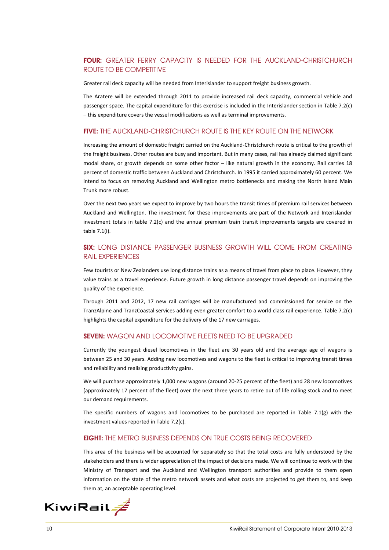### FOUR: GREATER FERRY CAPACITY IS NEEDED FOR THE AUCKLAND-CHRISTCHURCH ROUTE TO BE COMPETITIVE

Greater rail deck capacity will be needed from Interislander to support freight business growth.

The Aratere will be extended through 2011 to provide increased rail deck capacity, commercial vehicle and passenger space. The capital expenditure for this exercise is included in the Interislander section in Table 7.2(c) – this expenditure covers the vessel modifications as well as terminal improvements.

### FIVE: THE AUCKLAND-CHRISTCHURCH ROUTE IS THE KEY ROUTE ON THE NETWORK

Increasing the amount of domestic freight carried on the Auckland‐Christchurch route is critical to the growth of the freight business. Other routes are busy and important. But in many cases, rail has already claimed significant modal share, or growth depends on some other factor – like natural growth in the economy. Rail carries 18 percent of domestic traffic between Auckland and Christchurch. In 1995 it carried approximately 60 percent. We intend to focus on removing Auckland and Wellington metro bottlenecks and making the North Island Main Trunk more robust.

Over the next two years we expect to improve by two hours the transit times of premium rail services between Auckland and Wellington. The investment for these improvements are part of the Network and Interislander investment totals in table 7.2(c) and the annual premium train transit improvements targets are covered in table 7.1(i).

### **SIX:** LONG DISTANCE PASSENGER BUSINESS GROWTH WILL COME FROM CREATING RAIL EXPERIENCES

Few tourists or New Zealanders use long distance trains as a means of travel from place to place. However, they value trains as a travel experience. Future growth in long distance passenger travel depends on improving the quality of the experience.

Through 2011 and 2012, 17 new rail carriages will be manufactured and commissioned for service on the TranzAlpine and TranzCoastal services adding even greater comfort to a world class rail experience. Table 7.2(c) highlights the capital expenditure for the delivery of the 17 new carriages.

### SEVEN: WAGON AND LOCOMOTIVE FLEETS NEED TO BE UPGRADED

Currently the youngest diesel locomotives in the fleet are 30 years old and the average age of wagons is between 25 and 30 years. Adding new locomotives and wagons to the fleet is critical to improving transit times and reliability and realising productivity gains.

We will purchase approximately 1,000 new wagons (around 20-25 percent of the fleet) and 28 new locomotives (approximately 17 percent of the fleet) over the next three years to retire out of life rolling stock and to meet our demand requirements.

The specific numbers of wagons and locomotives to be purchased are reported in Table 7.1(g) with the investment values reported in Table 7.2(c).

### EIGHT: THE METRO BUSINESS DEPENDS ON TRUE COSTS BEING RECOVERED

This area of the business will be accounted for separately so that the total costs are fully understood by the stakeholders and there is wider appreciation of the impact of decisions made. We will continue to work with the Ministry of Transport and the Auckland and Wellington transport authorities and provide to them open information on the state of the metro network assets and what costs are projected to get them to, and keep them at, an acceptable operating level.

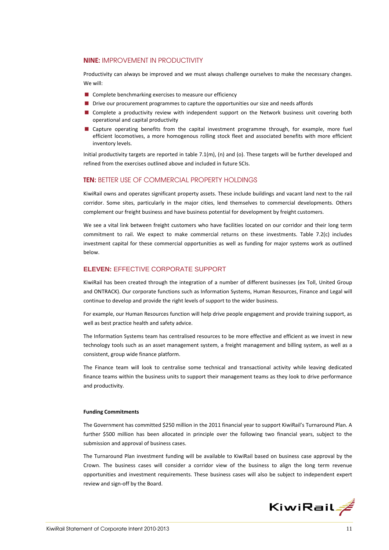### NINE: IMPROVEMENT IN PRODUCTIVITY

Productivity can always be improved and we must always challenge ourselves to make the necessary changes. We will:

- **Complete benchmarking exercises to measure our efficiency**
- **Drive our procurement programmes to capture the opportunities our size and needs affords**
- **Complete a productivity review with independent support on the Network business unit covering both** operational and capital productivity
- **E** Capture operating benefits from the capital investment programme through, for example, more fuel efficient locomotives, a more homogenous rolling stock fleet and associated benefits with more efficient inventory levels.

Initial productivity targets are reported in table 7.1(m), (n) and (o). These targets will be further developed and refined from the exercises outlined above and included in future SCIs.

#### **TEN: BETTER USE OF COMMERCIAL PROPERTY HOLDINGS**

KiwiRail owns and operates significant property assets. These include buildings and vacant land next to the rail corridor. Some sites, particularly in the major cities, lend themselves to commercial developments. Others complement our freight business and have business potential for development by freight customers.

We see a vital link between freight customers who have facilities located on our corridor and their long term commitment to rail. We expect to make commercial returns on these investments. Table 7.2(c) includes investment capital for these commercial opportunities as well as funding for major systems work as outlined below.

### **ELEVEN:** EFFECTIVE CORPORATE SUPPORT

KiwiRail has been created through the integration of a number of different businesses (ex Toll, United Group and ONTRACK). Our corporate functions such as Information Systems, Human Resources, Finance and Legal will continue to develop and provide the right levels of support to the wider business.

For example, our Human Resources function will help drive people engagement and provide training support, as well as best practice health and safety advice.

The Information Systems team has centralised resources to be more effective and efficient as we invest in new technology tools such as an asset management system, a freight management and billing system, as well as a consistent, group wide finance platform.

The Finance team will look to centralise some technical and transactional activity while leaving dedicated finance teams within the business units to support their management teams as they look to drive performance and productivity.

#### **Funding Commitments**

The Government has committed \$250 million in the 2011 financial year to support KiwiRail's Turnaround Plan. A further \$500 million has been allocated in principle over the following two financial years, subject to the submission and approval of business cases.

The Turnaround Plan investment funding will be available to KiwiRail based on business case approval by the Crown. The business cases will consider a corridor view of the business to align the long term revenue opportunities and investment requirements. These business cases will also be subject to independent expert review and sign‐off by the Board.

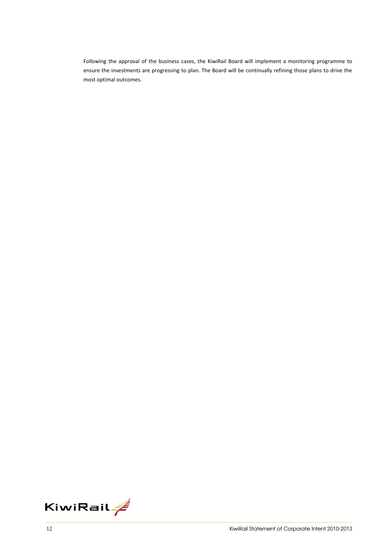Following the approval of the business cases, the KiwiRail Board will implement a monitoring programme to ensure the investments are progressing to plan. The Board will be continually refining those plans to drive the most optimal outcomes.

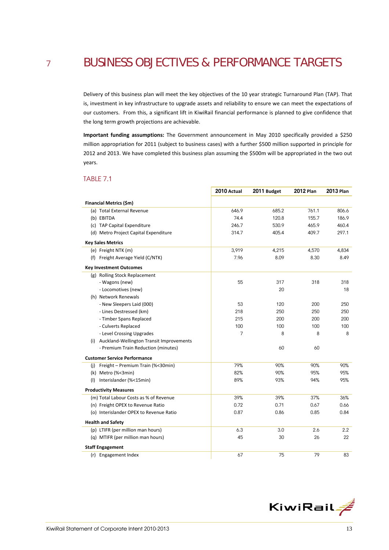## <sup>7</sup> BUSINESS OBJECTIVES & PERFORMANCE TARGETS

Delivery of this business plan will meet the key objectives of the 10 year strategic Turnaround Plan (TAP). That is, investment in key infrastructure to upgrade assets and reliability to ensure we can meet the expectations of our customers. From this, a significant lift in KiwiRail financial performance is planned to give confidence that the long term growth projections are achievable.

**Important funding assumptions:** The Government announcement in May 2010 specifically provided a \$250 million appropriation for 2011 (subject to business cases) with a further \$500 million supported in principle for 2012 and 2013. We have completed this business plan assuming the \$500m will be appropriated in the two out years.

### TABLE 7.1

|                                              | 2010 Actual | 2011 Budget | <b>2012 Plan</b> | <b>2013 Plan</b> |
|----------------------------------------------|-------------|-------------|------------------|------------------|
| Financial Metrics (\$m)                      |             |             |                  |                  |
| (a) Total External Revenue                   | 646.9       | 685.2       | 761.1            | 806.6            |
| (b) EBITDA                                   | 74.4        | 120.8       | 155.7            | 186.9            |
| (c) TAP Capital Expenditure                  | 246.7       | 530.9       | 465.9            | 460.4            |
| (d) Metro Project Capital Expenditure        | 314.7       | 405.4       | 409.7            | 297.1            |
| <b>Key Sales Metrics</b>                     |             |             |                  |                  |
| (e) Freight NTK (m)                          | 3,919       | 4,215       | 4,570            | 4,834            |
| (f) Freight Average Yield (C/NTK)            | 7.96        | 8.09        | 8.30             | 8.49             |
| <b>Key Investment Outcomes</b>               |             |             |                  |                  |
| (g) Rolling Stock Replacement                |             |             |                  |                  |
| - Wagons (new)                               | 55          | 317         | 318              | 318              |
| - Locomotives (new)                          |             | 20          |                  | 18               |
| (h) Network Renewals                         |             |             |                  |                  |
| - New Sleepers Laid (000)                    | 53          | 120         | 200              | 250              |
| - Lines Destressed (km)                      | 218         | 250         | 250              | 250              |
| - Timber Spans Replaced                      | 215         | 200         | 200              | 200              |
| - Culverts Replaced                          | 100         | 100         | 100              | 100              |
| - Level Crossing Upgrades                    | 7           | 8           | 8                | 8                |
| (i) Auckland-Wellington Transit Improvements |             |             |                  |                  |
| - Premium Train Reduction (minutes)          |             | 60          | 60               |                  |
| <b>Customer Service Performance</b>          |             |             |                  |                  |
| (i) Freight - Premium Train (%<30min)        | 79%         | 90%         | 90%              | 90%              |
| (k) Metro (%<3min)                           | 82%         | 90%         | 95%              | 95%              |
| Interislander (%<15min)<br>(1)               | 89%         | 93%         | 94%              | 95%              |
| <b>Productivity Measures</b>                 |             |             |                  |                  |
| (m) Total Labour Costs as % of Revenue       | 39%         | 39%         | 37%              | 36%              |
| (n) Freight OPEX to Revenue Ratio            | 0.72        | 0.71        | 0.67             | 0.66             |
| (o) Interislander OPEX to Revenue Ratio      | 0.87        | 0.86        | 0.85             | 0.84             |
| <b>Health and Safety</b>                     |             |             |                  |                  |
| (p) LTIFR (per million man hours)            | 6.3         | 3.0         | 2.6              | 2.2              |
| (q) MTIFR (per million man hours)            | 45          | 30          | 26               | 22               |
| <b>Staff Engagement</b>                      |             |             |                  |                  |
| (r) Engagement Index                         | 67          | 75          | 79               | 83               |

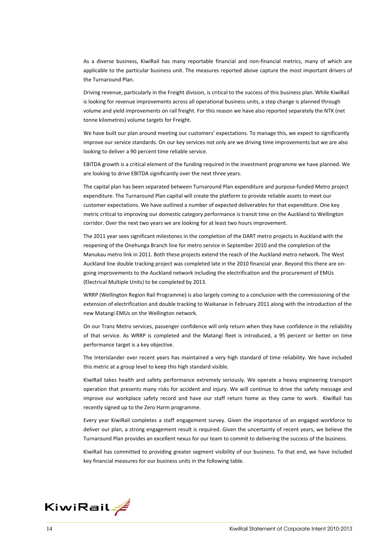As a diverse business, KiwiRail has many reportable financial and non-financial metrics, many of which are applicable to the particular business unit. The measures reported above capture the most important drivers of the Turnaround Plan.

Driving revenue, particularly in the Freight division, is critical to the success of this business plan. While KiwiRail is looking for revenue improvements across all operational business units, a step change is planned through volume and yield improvements on rail freight. For this reason we have also reported separately the NTK (net tonne kilometres) volume targets for Freight.

We have built our plan around meeting our customers' expectations. To manage this, we expect to significantly improve our service standards. On our key services not only are we driving time improvements but we are also looking to deliver a 90 percent time reliable service.

EBITDA growth is a critical element of the funding required in the investment programme we have planned. We are looking to drive EBITDA significantly over the next three years.

The capital plan has been separated between Turnaround Plan expenditure and purpose‐funded Metro project expenditure. The Turnaround Plan capital will create the platform to provide reliable assets to meet our customer expectations. We have outlined a number of expected deliverables for that expenditure. One key metric critical to improving our domestic category performance is transit time on the Auckland to Wellington corridor. Over the next two years we are looking for at least two hours improvement.

The 2011 year sees significant milestones in the completion of the DART metro projects in Auckland with the reopening of the Onehunga Branch line for metro service in September 2010 and the completion of the Manukau metro link in 2011. Both these projects extend the reach of the Auckland metro network. The West Auckland line double tracking project was completed late in the 2010 financial year. Beyond this there are on‐ going improvements to the Auckland network including the electrification and the procurement of EMUs (Electrical Multiple Units) to be completed by 2013.

WRRP (Wellington Region Rail Programme) is also largely coming to a conclusion with the commissioning of the extension of electrification and double tracking to Waikanae in February 2011 along with the introduction of the new Matangi EMUs on the Wellington network.

On our Tranz Metro services, passenger confidence will only return when they have confidence in the reliability of that service. As WRRP is completed and the Matangi fleet is introduced, a 95 percent or better on time performance target is a key objective.

The Interislander over recent years has maintained a very high standard of time reliability. We have included this metric at a group level to keep this high standard visible.

KiwiRail takes health and safety performance extremely seriously. We operate a heavy engineering transport operation that presents many risks for accident and injury. We will continue to drive the safety message and improve our workplace safety record and have our staff return home as they came to work. KiwiRail has recently signed up to the Zero Harm programme.

Every year KiwiRail completes a staff engagement survey. Given the importance of an engaged workforce to deliver our plan, a strong engagement result is required. Given the uncertainty of recent years, we believe the Turnaround Plan provides an excellent nexus for our team to commit to delivering the success of the business.

KiwiRail has committed to providing greater segment visibility of our business. To that end, we have included key financial measures for our business units in the following table.

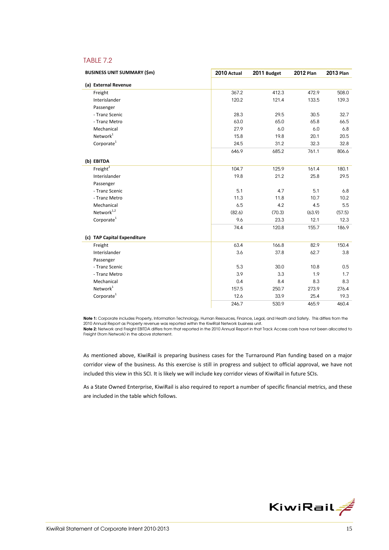### TABLE 7.2

| <b>BUSINESS UNIT SUMMARY (\$m)</b> | 2010 Actual | 2011 Budget | <b>2012 Plan</b> | <b>2013 Plan</b> |
|------------------------------------|-------------|-------------|------------------|------------------|
| (a) External Revenue               |             |             |                  |                  |
| Freight                            | 367.2       | 412.3       | 472.9            | 508.0            |
| Interislander                      | 120.2       | 121.4       | 133.5            | 139.3            |
| Passenger                          |             |             |                  |                  |
| - Tranz Scenic                     | 28.3        | 29.5        | 30.5             | 32.7             |
| - Tranz Metro                      | 63.0        | 65.0        | 65.8             | 66.5             |
| Mechanical                         | 27.9        | 6.0         | 6.0              | 6.8              |
| Network <sup>1</sup>               | 15.8        | 19.8        | 20.1             | 20.5             |
| Corporate <sup>1</sup>             | 24.5        | 31.2        | 32.3             | 32.8             |
|                                    | 646.9       | 685.2       | 761.1            | 806.6            |
| (b) EBITDA                         |             |             |                  |                  |
| Freight $^2$                       | 104.7       | 125.9       | 161.4            | 180.1            |
| Interislander                      | 19.8        | 21.2        | 25.8             | 29.5             |
| Passenger                          |             |             |                  |                  |
| - Tranz Scenic                     | 5.1         | 4.7         | 5.1              | 6.8              |
| - Tranz Metro                      | 11.3        | 11.8        | 10.7             | 10.2             |
| Mechanical                         | 6.5         | 4.2         | 4.5              | 5.5              |
| Network $1,2$                      | (82.6)      | (70.3)      | (63.9)           | (57.5)           |
| Corporate <sup>1</sup>             | 9.6         | 23.3        | 12.1             | 12.3             |
|                                    | 74.4        | 120.8       | 155.7            | 186.9            |
| (c) TAP Capital Expenditure        |             |             |                  |                  |
| Freight                            | 63.4        | 166.8       | 82.9             | 150.4            |
| Interislander                      | 3.6         | 37.8        | 62.7             | 3.8              |
| Passenger                          |             |             |                  |                  |
| - Tranz Scenic                     | 5.3         | 30.0        | 10.8             | 0.5              |
| - Tranz Metro                      | 3.9         | 3.3         | 1.9              | 1.7              |
| Mechanical                         | 0.4         | 8.4         | 8.3              | 8.3              |
| Network <sup>1</sup>               | 157.5       | 250.7       | 273.9            | 276.4            |
| Corporate <sup>1</sup>             | 12.6        | 33.9        | 25.4             | 19.3             |
|                                    | 246.7       | 530.9       | 465.9            | 460.4            |

Note 1: Corporate includes Property, Information Technology, Human Resources, Finance, Legal, and Heath and Safety. This differs from the 2010 Annual Report as Property revenue was reported within the KiwiRail Network business unit.

Note 2: Network and Freight EBITDA differs from that reported in the 2010 Annual Report in that Track Access costs have not been allocated to Freight (from Network) in the above statement.

As mentioned above, KiwiRail is preparing business cases for the Turnaround Plan funding based on a major corridor view of the business. As this exercise is still in progress and subject to official approval, we have not included this view in this SCI. It is likely we will include key corridor views of KiwiRail in future SCIs.

As a State Owned Enterprise, KiwiRail is also required to report a number of specific financial metrics, and these are included in the table which follows.

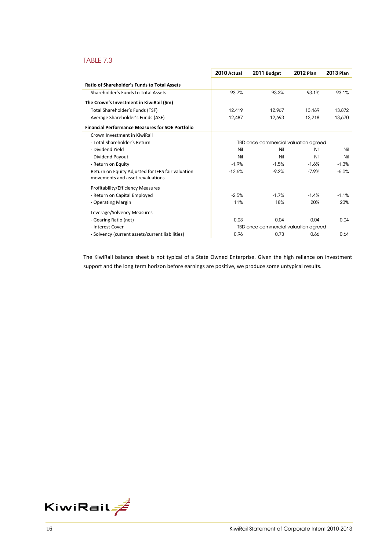### TABLE 7.3

|                                                                                       | 2010 Actual | 2011 Budget                          | <b>2012 Plan</b> | <b>2013 Plan</b> |
|---------------------------------------------------------------------------------------|-------------|--------------------------------------|------------------|------------------|
| <b>Ratio of Shareholder's Funds to Total Assets</b>                                   |             |                                      |                  |                  |
| Shareholder's Funds to Total Assets                                                   | 93.7%       | 93.3%                                | 93.1%            | 93.1%            |
| The Crown's Investment in KiwiRail (\$m)                                              |             |                                      |                  |                  |
| Total Shareholder's Funds (TSF)                                                       | 12.419      | 12.967                               | 13.469           | 13.872           |
| Average Shareholder's Funds (ASF)                                                     | 12.487      | 12.693                               | 13.218           | 13.670           |
| <b>Financial Performance Measures for SOE Portfolio</b>                               |             |                                      |                  |                  |
| Crown Investment in KiwiRail                                                          |             |                                      |                  |                  |
| - Total Shareholder's Return                                                          |             | TBD once commercial valuation agreed |                  |                  |
| - Dividend Yield                                                                      | Nil         | Nil                                  | Nil              | Nil              |
| - Dividend Payout                                                                     | Nil         | Nil                                  | Nil              | Nil              |
| - Return on Equity                                                                    | $-1.9%$     | $-1.5%$                              | $-1.6%$          | $-1.3%$          |
| Return on Equity Adjusted for IFRS fair valuation<br>movements and asset revaluations | $-13.6%$    | $-9.2%$                              | $-7.9%$          | $-6.0%$          |
| Profitability/Efficiency Measures                                                     |             |                                      |                  |                  |
| - Return on Capital Employed                                                          | $-2.5%$     | $-1.7%$                              | $-1.4%$          | $-1.1%$          |
| - Operating Margin                                                                    | 11%         | 18%                                  | 20%              | 23%              |
| Leverage/Solvency Measures                                                            |             |                                      |                  |                  |
| - Gearing Ratio (net)                                                                 | 0.03        | 0.04                                 | 0.04             | 0.04             |
| - Interest Cover                                                                      |             | TBD once commercial valuation agreed |                  |                  |
| - Solvency (current assets/current liabilities)                                       | 0.96        | 0.73                                 | 0.66             | 0.64             |

The KiwiRail balance sheet is not typical of a State Owned Enterprise. Given the high reliance on investment support and the long term horizon before earnings are positive, we produce some untypical results.

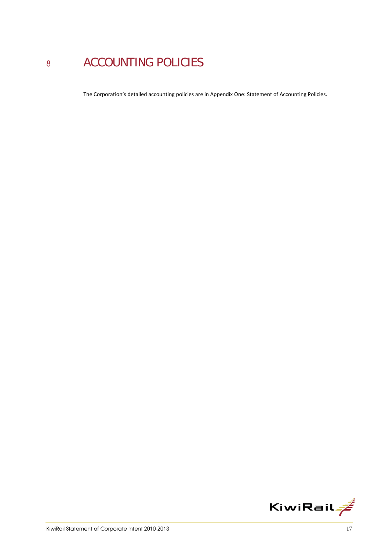# 8 ACCOUNTING POLICIES

The Corporation's detailed accounting policies are in Appendix One: Statement of Accounting Policies.

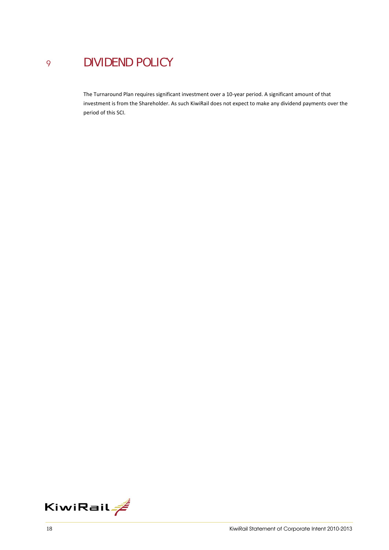## <sup>9</sup> DIVIDEND POLICY

The Turnaround Plan requires significant investment over a 10‐year period. A significant amount of that investment is from the Shareholder. As such KiwiRail does not expect to make any dividend payments over the period of this SCI.

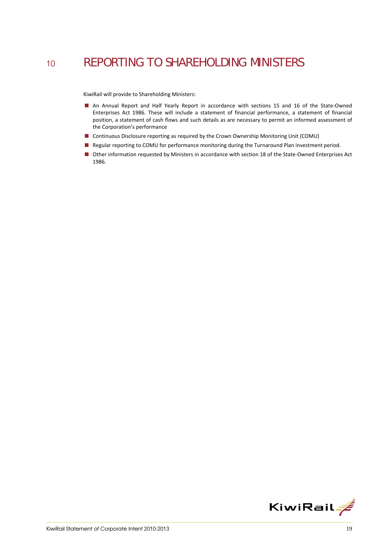## 10 REPORTING TO SHAREHOLDING MINISTERS

KiwiRail will provide to Shareholding Ministers:

- An Annual Report and Half Yearly Report in accordance with sections 15 and 16 of the State-Owned Enterprises Act 1986. These will include a statement of financial performance, a statement of financial position, a statement of cash flows and such details as are necessary to permit an informed assessment of the Corporation's performance
- Continuous Disclosure reporting as required by the Crown Ownership Monitoring Unit (COMU)
- Regular reporting to COMU for performance monitoring during the Turnaround Plan investment period.
- Other information requested by Ministers in accordance with section 18 of the State-Owned Enterprises Act 1986.

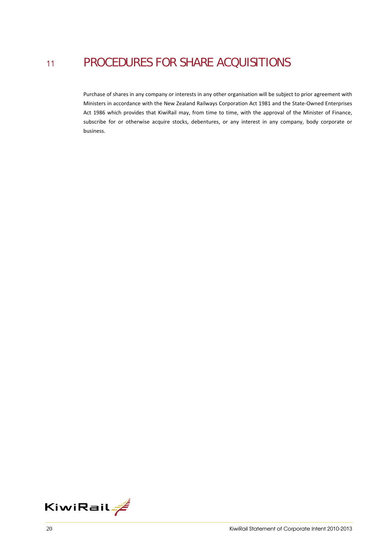## <sup>11</sup> PROCEDURES FOR SHARE ACQUISITIONS

Purchase of shares in any company or interests in any other organisation will be subject to prior agreement with Ministers in accordance with the New Zealand Railways Corporation Act 1981 and the State‐Owned Enterprises Act 1986 which provides that KiwiRail may, from time to time, with the approval of the Minister of Finance, subscribe for or otherwise acquire stocks, debentures, or any interest in any company, body corporate or business.

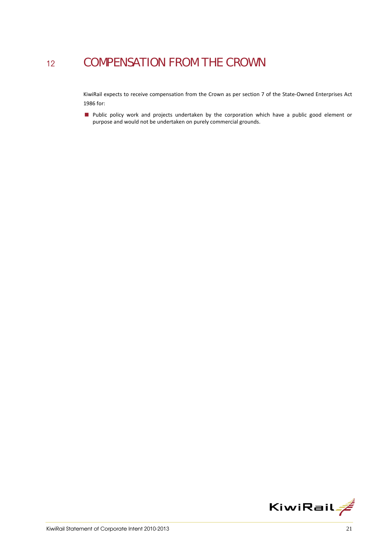## 12 COMPENSATION FROM THE CROWN

KiwiRail expects to receive compensation from the Crown as per section 7 of the State‐Owned Enterprises Act 1986 for:

**Public policy work and projects undertaken by the corporation which have a public good element or** purpose and would not be undertaken on purely commercial grounds.

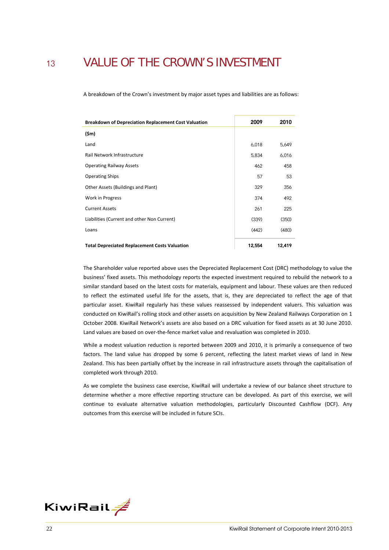## <sup>13</sup> VALUE OF THE CROWN'S INVESTMENT

A breakdown of the Crown's investment by major asset types and liabilities are as follows:

| <b>Breakdown of Depreciation Replacement Cost Valuation</b> | 2009   | 2010   |
|-------------------------------------------------------------|--------|--------|
| $(\mathsf{5m})$                                             |        |        |
| Land                                                        | 6,018  | 5,649  |
| Rail Network Infrastructure                                 | 5,834  | 6,016  |
| <b>Operating Railway Assets</b>                             | 462    | 458    |
| <b>Operating Ships</b>                                      | 57     | 53     |
| Other Assets (Buildings and Plant)                          | 329    | 356    |
| Work in Progress                                            | 374    | 492    |
| <b>Current Assets</b>                                       | 261    | 225    |
| Liabilities (Current and other Non Current)                 | (339)  | (350)  |
| Loans                                                       | (442)  | (480)  |
| <b>Total Depreciated Replacement Costs Valuation</b>        | 12,554 | 12,419 |

The Shareholder value reported above uses the Depreciated Replacement Cost (DRC) methodology to value the business' fixed assets. This methodology reports the expected investment required to rebuild the network to a similar standard based on the latest costs for materials, equipment and labour. These values are then reduced to reflect the estimated useful life for the assets, that is, they are depreciated to reflect the age of that particular asset. KiwiRail regularly has these values reassessed by independent valuers. This valuation was conducted on KiwiRail's rolling stock and other assets on acquisition by New Zealand Railways Corporation on 1 October 2008. KiwiRail Network's assets are also based on a DRC valuation for fixed assets as at 30 June 2010. Land values are based on over-the-fence market value and revaluation was completed in 2010.

While a modest valuation reduction is reported between 2009 and 2010, it is primarily a consequence of two factors. The land value has dropped by some 6 percent, reflecting the latest market views of land in New Zealand. This has been partially offset by the increase in rail infrastructure assets through the capitalisation of completed work through 2010.

As we complete the business case exercise, KiwiRail will undertake a review of our balance sheet structure to determine whether a more effective reporting structure can be developed. As part of this exercise, we will continue to evaluate alternative valuation methodologies, particularly Discounted Cashflow (DCF). Any outcomes from this exercise will be included in future SCIs.

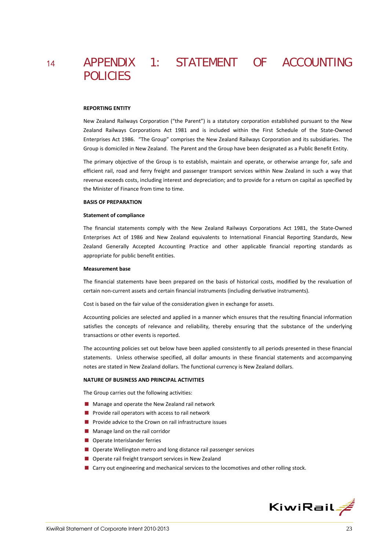## <sup>14</sup> APPENDIX 1: STATEMENT OF ACCOUNTING POLICIES

#### **REPORTING ENTITY**

New Zealand Railways Corporation ("the Parent") is a statutory corporation established pursuant to the New Zealand Railways Corporations Act 1981 and is included within the First Schedule of the State‐Owned Enterprises Act 1986. "The Group" comprises the New Zealand Railways Corporation and its subsidiaries. The Group is domiciled in New Zealand. The Parent and the Group have been designated as a Public Benefit Entity.

The primary objective of the Group is to establish, maintain and operate, or otherwise arrange for, safe and efficient rail, road and ferry freight and passenger transport services within New Zealand in such a way that revenue exceeds costs, including interest and depreciation; and to provide for a return on capital as specified by the Minister of Finance from time to time.

#### **BASIS OF PREPARATION**

#### **Statement of compliance**

The financial statements comply with the New Zealand Railways Corporations Act 1981, the State-Owned Enterprises Act of 1986 and New Zealand equivalents to International Financial Reporting Standards, New Zealand Generally Accepted Accounting Practice and other applicable financial reporting standards as appropriate for public benefit entities.

#### **Measurement base**

The financial statements have been prepared on the basis of historical costs, modified by the revaluation of certain non‐current assets and certain financial instruments (including derivative instruments).

Cost is based on the fair value of the consideration given in exchange for assets.

Accounting policies are selected and applied in a manner which ensures that the resulting financial information satisfies the concepts of relevance and reliability, thereby ensuring that the substance of the underlying transactions or other events is reported.

The accounting policies set out below have been applied consistently to all periods presented in these financial statements. Unless otherwise specified, all dollar amounts in these financial statements and accompanying notes are stated in New Zealand dollars. The functional currency is New Zealand dollars.

#### **NATURE OF BUSINESS AND PRINCIPAL ACTIVITIES**

The Group carries out the following activities:

- **Manage and operate the New Zealand rail network**
- **Provide rail operators with access to rail network**
- **Provide advice to the Crown on rail infrastructure issues**
- **Manage land on the rail corridor**
- Operate Interislander ferries
- Operate Wellington metro and long distance rail passenger services
- Operate rail freight transport services in New Zealand
- Carry out engineering and mechanical services to the locomotives and other rolling stock.

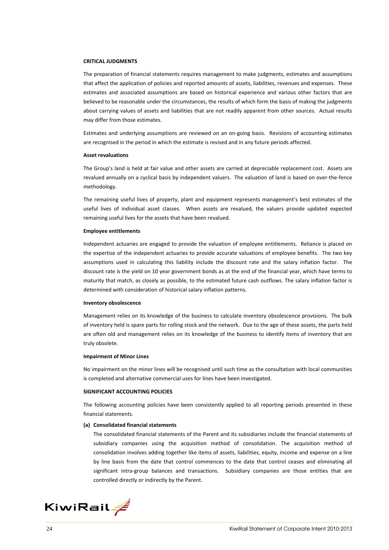#### **CRITICAL JUDGMENTS**

The preparation of financial statements requires management to make judgments, estimates and assumptions that affect the application of policies and reported amounts of assets, liabilities, revenues and expenses. These estimates and associated assumptions are based on historical experience and various other factors that are believed to be reasonable under the circumstances, the results of which form the basis of making the judgments about carrying values of assets and liabilities that are not readily apparent from other sources. Actual results may differ from those estimates.

Estimates and underlying assumptions are reviewed on an on‐going basis. Revisions of accounting estimates are recognised in the period in which the estimate is revised and in any future periods affected.

#### **Asset revaluations**

The Group's land is held at fair value and other assets are carried at depreciable replacement cost. Assets are revalued annually on a cyclical basis by independent valuers. The valuation of land is based on over-the-fence methodology.

The remaining useful lives of property, plant and equipment represents management's best estimates of the useful lives of individual asset classes. When assets are revalued, the valuers provide updated expected remaining useful lives for the assets that have been revalued.

#### **Employee entitlements**

Independent actuaries are engaged to provide the valuation of employee entitlements. Reliance is placed on the expertise of the independent actuaries to provide accurate valuations of employee benefits. The two key assumptions used in calculating this liability include the discount rate and the salary inflation factor. The discount rate is the yield on 10 year government bonds as at the end of the financial year, which have terms to maturity that match, as closely as possible, to the estimated future cash outflows. The salary inflation factor is determined with consideration of historical salary inflation patterns.

#### **Inventory obsolescence**

Management relies on its knowledge of the business to calculate inventory obsolescence provisions. The bulk of inventory held is spare parts for rolling stock and the network. Due to the age of these assets, the parts held are often old and management relies on its knowledge of the business to identify items of inventory that are truly obsolete.

#### **Impairment of Minor Lines**

No impairment on the minor lines will be recognised until such time as the consultation with local communities is completed and alternative commercial uses for lines have been investigated.

#### **SIGNIFICANT ACCOUNTING POLICIES**

The following accounting policies have been consistently applied to all reporting periods presented in these financial statements.

#### **(a) Consolidated financial statements**

The consolidated financial statements of the Parent and its subsidiaries include the financial statements of subsidiary companies using the acquisition method of consolidation. The acquisition method of consolidation involves adding together like items of assets, liabilities, equity, income and expense on a line by line basis from the date that control commences to the date that control ceases and eliminating all significant intra-group balances and transactions. Subsidiary companies are those entities that are controlled directly or indirectly by the Parent.

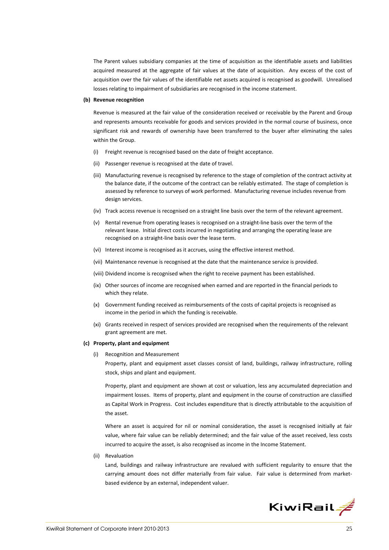The Parent values subsidiary companies at the time of acquisition as the identifiable assets and liabilities acquired measured at the aggregate of fair values at the date of acquisition. Any excess of the cost of acquisition over the fair values of the identifiable net assets acquired is recognised as goodwill. Unrealised losses relating to impairment of subsidiaries are recognised in the income statement.

#### **(b) Revenue recognition**

Revenue is measured at the fair value of the consideration received or receivable by the Parent and Group and represents amounts receivable for goods and services provided in the normal course of business, once significant risk and rewards of ownership have been transferred to the buyer after eliminating the sales within the Group.

- (i) Freight revenue is recognised based on the date of freight acceptance.
- (ii) Passenger revenue is recognised at the date of travel.
- (iii) Manufacturing revenue is recognised by reference to the stage of completion of the contract activity at the balance date, if the outcome of the contract can be reliably estimated. The stage of completion is assessed by reference to surveys of work performed. Manufacturing revenue includes revenue from design services.
- (iv) Track access revenue is recognised on a straight line basis over the term of the relevant agreement.
- (v) Rental revenue from operating leases is recognised on a straight‐line basis over the term of the relevant lease. Initial direct costs incurred in negotiating and arranging the operating lease are recognised on a straight‐line basis over the lease term.
- (vi) Interest income is recognised as it accrues, using the effective interest method.
- (vii) Maintenance revenue is recognised at the date that the maintenance service is provided.
- (viii) Dividend income is recognised when the right to receive payment has been established.
- (ix) Other sources of income are recognised when earned and are reported in the financial periods to which they relate.
- (x) Government funding received as reimbursements of the costs of capital projects is recognised as income in the period in which the funding is receivable.
- (xi) Grants received in respect of services provided are recognised when the requirements of the relevant grant agreement are met.

#### **(c) Property, plant and equipment**

(i) Recognition and Measurement Property, plant and equipment asset classes consist of land, buildings, railway infrastructure, rolling stock, ships and plant and equipment.

Property, plant and equipment are shown at cost or valuation, less any accumulated depreciation and impairment losses. Items of property, plant and equipment in the course of construction are classified as Capital Work in Progress. Cost includes expenditure that is directly attributable to the acquisition of the asset.

Where an asset is acquired for nil or nominal consideration, the asset is recognised initially at fair value, where fair value can be reliably determined; and the fair value of the asset received, less costs incurred to acquire the asset, is also recognised as income in the Income Statement.

(ii) Revaluation

Land, buildings and railway infrastructure are revalued with sufficient regularity to ensure that the carrying amount does not differ materially from fair value. Fair value is determined from marketbased evidence by an external, independent valuer.

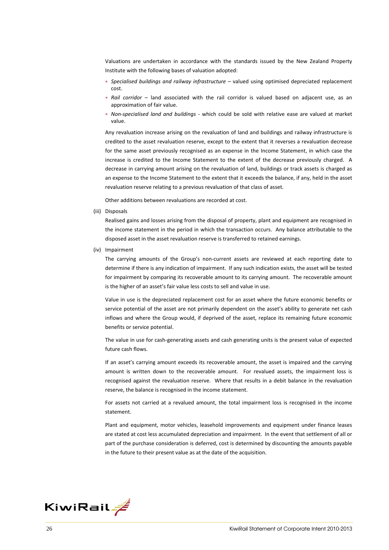Valuations are undertaken in accordance with the standards issued by the New Zealand Property Institute with the following bases of valuation adopted:

- ∗ *Specialised buildings and railway infrastructure* valued using optimised depreciated replacement cost.
- ∗ *Rail corridor* land associated with the rail corridor is valued based on adjacent use, as an approximation of fair value.
- ∗ *Non‐specialised land and buildings* ‐ which could be sold with relative ease are valued at market value.

Any revaluation increase arising on the revaluation of land and buildings and railway infrastructure is credited to the asset revaluation reserve, except to the extent that it reverses a revaluation decrease for the same asset previously recognised as an expense in the Income Statement, in which case the increase is credited to the Income Statement to the extent of the decrease previously charged. A decrease in carrying amount arising on the revaluation of land, buildings or track assets is charged as an expense to the Income Statement to the extent that it exceeds the balance, if any, held in the asset revaluation reserve relating to a previous revaluation of that class of asset.

Other additions between revaluations are recorded at cost.

(iii) Disposals

Realised gains and losses arising from the disposal of property, plant and equipment are recognised in the income statement in the period in which the transaction occurs. Any balance attributable to the disposed asset in the asset revaluation reserve is transferred to retained earnings.

(iv) Impairment

The carrying amounts of the Group's non-current assets are reviewed at each reporting date to determine if there is any indication of impairment. If any such indication exists, the asset will be tested for impairment by comparing its recoverable amount to its carrying amount. The recoverable amount is the higher of an asset's fair value less costs to sell and value in use.

Value in use is the depreciated replacement cost for an asset where the future economic benefits or service potential of the asset are not primarily dependent on the asset's ability to generate net cash inflows and where the Group would, if deprived of the asset, replace its remaining future economic benefits or service potential.

The value in use for cash-generating assets and cash generating units is the present value of expected future cash flows.

If an asset's carrying amount exceeds its recoverable amount, the asset is impaired and the carrying amount is written down to the recoverable amount. For revalued assets, the impairment loss is recognised against the revaluation reserve. Where that results in a debit balance in the revaluation reserve, the balance is recognised in the income statement.

For assets not carried at a revalued amount, the total impairment loss is recognised in the income statement.

Plant and equipment, motor vehicles, leasehold improvements and equipment under finance leases are stated at cost less accumulated depreciation and impairment. In the event that settlement of all or part of the purchase consideration is deferred, cost is determined by discounting the amounts payable in the future to their present value as at the date of the acquisition.

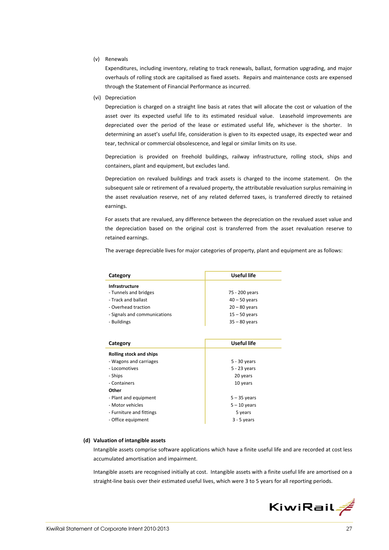(v) Renewals

Expenditures, including inventory, relating to track renewals, ballast, formation upgrading, and major overhauls of rolling stock are capitalised as fixed assets. Repairs and maintenance costs are expensed through the Statement of Financial Performance as incurred.

(vi) Depreciation

Depreciation is charged on a straight line basis at rates that will allocate the cost or valuation of the asset over its expected useful life to its estimated residual value. Leasehold improvements are depreciated over the period of the lease or estimated useful life, whichever is the shorter. In determining an asset's useful life, consideration is given to its expected usage, its expected wear and tear, technical or commercial obsolescence, and legal or similar limits on its use.

Depreciation is provided on freehold buildings, railway infrastructure, rolling stock, ships and containers, plant and equipment, but excludes land.

Depreciation on revalued buildings and track assets is charged to the income statement. On the subsequent sale or retirement of a revalued property, the attributable revaluation surplus remaining in the asset revaluation reserve, net of any related deferred taxes, is transferred directly to retained earnings.

For assets that are revalued, any difference between the depreciation on the revalued asset value and the depreciation based on the original cost is transferred from the asset revaluation reserve to retained earnings.

The average depreciable lives for major categories of property, plant and equipment are as follows:

| Category                     | Useful life     |  |  |
|------------------------------|-----------------|--|--|
| Infrastructure               |                 |  |  |
| - Tunnels and bridges        | 75 - 200 years  |  |  |
| - Track and ballast          | $40 - 50$ years |  |  |
| - Overhead traction          | $20 - 80$ years |  |  |
| - Signals and communications | $15 - 50$ years |  |  |
| - Buildings                  | $35 - 80$ years |  |  |
|                              |                 |  |  |
|                              |                 |  |  |
| Category                     | Useful life     |  |  |
| Rolling stock and ships      |                 |  |  |
| - Wagons and carriages       | 5 - 30 years    |  |  |
| - Locomotives                | $5 - 23$ years  |  |  |
| - Ships                      | 20 years        |  |  |
| - Containers                 | 10 years        |  |  |
| Other                        |                 |  |  |
| - Plant and equipment        | $5 - 35$ years  |  |  |
| - Motor vehicles             | $5 - 10$ years  |  |  |
| - Furniture and fittings     | 5 years         |  |  |
| - Office equipment           | $3 - 5$ years   |  |  |
|                              |                 |  |  |

#### **(d) Valuation of intangible assets**

Intangible assets comprise software applications which have a finite useful life and are recorded at cost less accumulated amortisation and impairment.

Intangible assets are recognised initially at cost. Intangible assets with a finite useful life are amortised on a straight-line basis over their estimated useful lives, which were 3 to 5 years for all reporting periods.

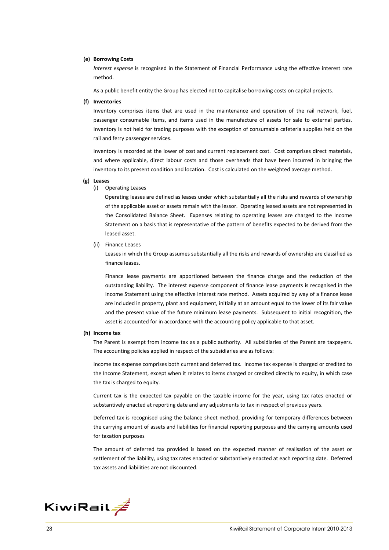#### **(e) Borrowing Costs**

*Interest expense* is recognised in the Statement of Financial Performance using the effective interest rate method.

As a public benefit entity the Group has elected not to capitalise borrowing costs on capital projects.

#### **(f) Inventories**

Inventory comprises items that are used in the maintenance and operation of the rail network, fuel, passenger consumable items, and items used in the manufacture of assets for sale to external parties. Inventory is not held for trading purposes with the exception of consumable cafeteria supplies held on the rail and ferry passenger services.

Inventory is recorded at the lower of cost and current replacement cost. Cost comprises direct materials, and where applicable, direct labour costs and those overheads that have been incurred in bringing the inventory to its present condition and location. Cost is calculated on the weighted average method.

#### **(g) Leases**

(i) Operating Leases

Operating leases are defined as leases under which substantially all the risks and rewards of ownership of the applicable asset or assets remain with the lessor. Operating leased assets are not represented in the Consolidated Balance Sheet. Expenses relating to operating leases are charged to the Income Statement on a basis that is representative of the pattern of benefits expected to be derived from the leased asset.

(ii) Finance Leases

Leases in which the Group assumes substantially all the risks and rewards of ownership are classified as finance leases.

Finance lease payments are apportioned between the finance charge and the reduction of the outstanding liability. The interest expense component of finance lease payments is recognised in the Income Statement using the effective interest rate method. Assets acquired by way of a finance lease are included in property, plant and equipment, initially at an amount equal to the lower of its fair value and the present value of the future minimum lease payments. Subsequent to initial recognition, the asset is accounted for in accordance with the accounting policy applicable to that asset.

#### **(h) Income tax**

The Parent is exempt from income tax as a public authority. All subsidiaries of the Parent are taxpayers. The accounting policies applied in respect of the subsidiaries are as follows:

Income tax expense comprises both current and deferred tax. Income tax expense is charged or credited to the Income Statement, except when it relates to items charged or credited directly to equity, in which case the tax is charged to equity.

Current tax is the expected tax payable on the taxable income for the year, using tax rates enacted or substantively enacted at reporting date and any adjustments to tax in respect of previous years.

Deferred tax is recognised using the balance sheet method, providing for temporary differences between the carrying amount of assets and liabilities for financial reporting purposes and the carrying amounts used for taxation purposes

The amount of deferred tax provided is based on the expected manner of realisation of the asset or settlement of the liability, using tax rates enacted or substantively enacted at each reporting date. Deferred tax assets and liabilities are not discounted.

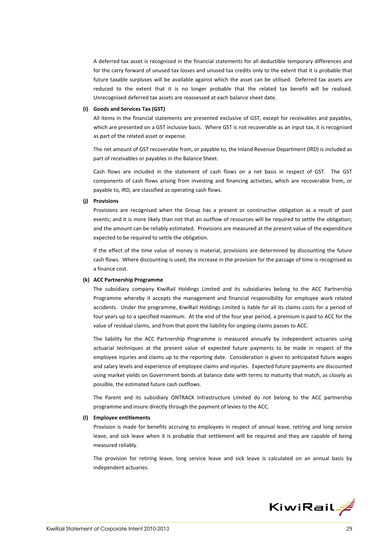A deferred tax asset is recognised in the financial statements for all deductible temporary differences and for the carry forward of unused tax losses and unused tax credits only to the extent that it is probable that future taxable surpluses will be available against which the asset can be utilised. Deferred tax assets are reduced to the extent that it is no longer probable that the related tax benefit will be realised. Unrecognised deferred tax assets are reassessed at each balance sheet date.

#### **(i) Goods and Services Tax (GST)**

All items in the financial statements are presented exclusive of GST, except for receivables and payables, which are presented on a GST inclusive basis. Where GST is not recoverable as an input tax, it is recognised as part of the related asset or expense.

The net amount of GST recoverable from, or payable to, the Inland Revenue Department (IRD) is included as part of receivables or payables in the Balance Sheet.

Cash flows are included in the statement of cash flows on a net basis in respect of GST. The GST components of cash flows arising from investing and financing activities, which are recoverable from, or payable to, IRD, are classified as operating cash flows.

#### **(j) Provisions**

Provisions are recognised when the Group has a present or constructive obligation as a result of past events; and it is more likely than not that an outflow of resources will be required to settle the obligation; and the amount can be reliably estimated. Provisions are measured at the present value of the expenditure expected to be required to settle the obligation.

If the effect of the time value of money is material, provisions are determined by discounting the future cash flows. Where discounting is used, the increase in the provision for the passage of time is recognised as a finance cost.

#### **(k) ACC Partnership Programme**

The subsidiary company KiwiRail Holdings Limited and its subsidiaries belong to the ACC Partnership Programme whereby it accepts the management and financial responsibility for employee work related accidents. Under the programme, KiwiRail Holdings Limited is liable for all its claims costs for a period of four years up to a specified maximum. At the end of the four year period, a premium is paid to ACC for the value of residual claims, and from that point the liability for ongoing claims passes to ACC.

The liability for the ACC Partnership Programme is measured annually by independent actuaries using actuarial techniques at the present value of expected future payments to be made in respect of the employee injuries and claims up to the reporting date. Consideration is given to anticipated future wages and salary levels and experience of employee claims and injuries. Expected future payments are discounted using market yields on Government bonds at balance date with terms to maturity that match, as closely as possible, the estimated future cash outflows.

The Parent and its subsidiary ONTRACK Infrastructure Limited do not belong to the ACC partnership programme and insure directly through the payment of levies to the ACC.

### **(l) Employee entitlements**

Provision is made for benefits accruing to employees in respect of annual leave, retiring and long service leave, and sick leave when it is probable that settlement will be required and they are capable of being measured reliably.

The provision for retiring leave, long service leave and sick leave is calculated on an annual basis by independent actuaries.

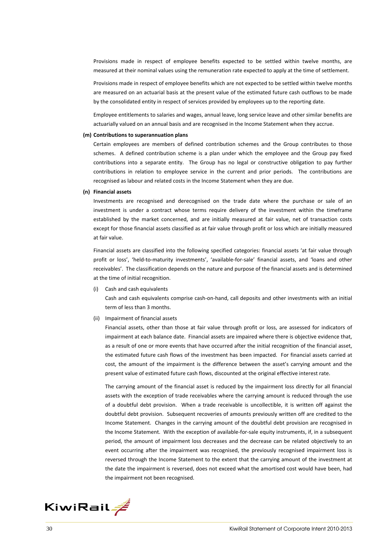Provisions made in respect of employee benefits expected to be settled within twelve months, are measured at their nominal values using the remuneration rate expected to apply at the time of settlement.

Provisions made in respect of employee benefits which are not expected to be settled within twelve months are measured on an actuarial basis at the present value of the estimated future cash outflows to be made by the consolidated entity in respect of services provided by employees up to the reporting date.

Employee entitlements to salaries and wages, annual leave, long service leave and other similar benefits are actuarially valued on an annual basis and are recognised in the Income Statement when they accrue.

#### **(m) Contributions to superannuation plans**

Certain employees are members of defined contribution schemes and the Group contributes to those schemes. A defined contribution scheme is a plan under which the employee and the Group pay fixed contributions into a separate entity. The Group has no legal or constructive obligation to pay further contributions in relation to employee service in the current and prior periods. The contributions are recognised as labour and related costs in the Income Statement when they are due.

#### **(n) Financial assets**

Investments are recognised and derecognised on the trade date where the purchase or sale of an investment is under a contract whose terms require delivery of the investment within the timeframe established by the market concerned, and are initially measured at fair value, net of transaction costs except for those financial assets classified as at fair value through profit or loss which are initially measured at fair value.

Financial assets are classified into the following specified categories: financial assets 'at fair value through profit or loss', 'held-to-maturity investments', 'available-for-sale' financial assets, and 'loans and other receivables'. The classification depends on the nature and purpose of the financial assets and is determined at the time of initial recognition.

(i) Cash and cash equivalents

Cash and cash equivalents comprise cash‐on‐hand, call deposits and other investments with an initial term of less than 3 months.

(ii) Impairment of financial assets

Financial assets, other than those at fair value through profit or loss, are assessed for indicators of impairment at each balance date. Financial assets are impaired where there is objective evidence that, as a result of one or more events that have occurred after the initial recognition of the financial asset, the estimated future cash flows of the investment has been impacted. For financial assets carried at cost, the amount of the impairment is the difference between the asset's carrying amount and the present value of estimated future cash flows, discounted at the original effective interest rate.

The carrying amount of the financial asset is reduced by the impairment loss directly for all financial assets with the exception of trade receivables where the carrying amount is reduced through the use of a doubtful debt provision. When a trade receivable is uncollectible, it is written off against the doubtful debt provision. Subsequent recoveries of amounts previously written off are credited to the Income Statement. Changes in the carrying amount of the doubtful debt provision are recognised in the Income Statement. With the exception of available‐for‐sale equity instruments, if, in a subsequent period, the amount of impairment loss decreases and the decrease can be related objectively to an event occurring after the impairment was recognised, the previously recognised impairment loss is reversed through the Income Statement to the extent that the carrying amount of the investment at the date the impairment is reversed, does not exceed what the amortised cost would have been, had the impairment not been recognised.

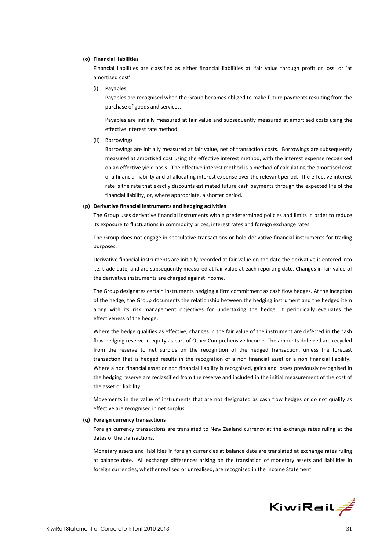#### **(o) Financial liabilities**

Financial liabilities are classified as either financial liabilities at 'fair value through profit or loss' or 'at amortised cost'.

(i) Payables

Payables are recognised when the Group becomes obliged to make future payments resulting from the purchase of goods and services.

Payables are initially measured at fair value and subsequently measured at amortised costs using the effective interest rate method.

(ii) Borrowings

Borrowings are initially measured at fair value, net of transaction costs. Borrowings are subsequently measured at amortised cost using the effective interest method, with the interest expense recognised on an effective yield basis. The effective interest method is a method of calculating the amortised cost of a financial liability and of allocating interest expense over the relevant period. The effective interest rate is the rate that exactly discounts estimated future cash payments through the expected life of the financial liability, or, where appropriate, a shorter period.

#### **(p) Derivative financial instruments and hedging activities**

The Group uses derivative financial instruments within predetermined policies and limits in order to reduce its exposure to fluctuations in commodity prices, interest rates and foreign exchange rates.

The Group does not engage in speculative transactions or hold derivative financial instruments for trading purposes.

Derivative financial instruments are initially recorded at fair value on the date the derivative is entered into i.e. trade date, and are subsequently measured at fair value at each reporting date. Changes in fair value of the derivative instruments are charged against income.

The Group designates certain instruments hedging a firm commitment as cash flow hedges. At the inception of the hedge, the Group documents the relationship between the hedging instrument and the hedged item along with its risk management objectives for undertaking the hedge. It periodically evaluates the effectiveness of the hedge.

Where the hedge qualifies as effective, changes in the fair value of the instrument are deferred in the cash flow hedging reserve in equity as part of Other Comprehensive Income. The amounts deferred are recycled from the reserve to net surplus on the recognition of the hedged transaction, unless the forecast transaction that is hedged results in the recognition of a non financial asset or a non financial liability. Where a non financial asset or non financial liability is recognised, gains and losses previously recognised in the hedging reserve are reclassified from the reserve and included in the initial measurement of the cost of the asset or liability

Movements in the value of instruments that are not designated as cash flow hedges or do not qualify as effective are recognised in net surplus.

#### **(q) Foreign currency transactions**

Foreign currency transactions are translated to New Zealand currency at the exchange rates ruling at the dates of the transactions.

Monetary assets and liabilities in foreign currencies at balance date are translated at exchange rates ruling at balance date. All exchange differences arising on the translation of monetary assets and liabilities in foreign currencies, whether realised or unrealised, are recognised in the Income Statement.

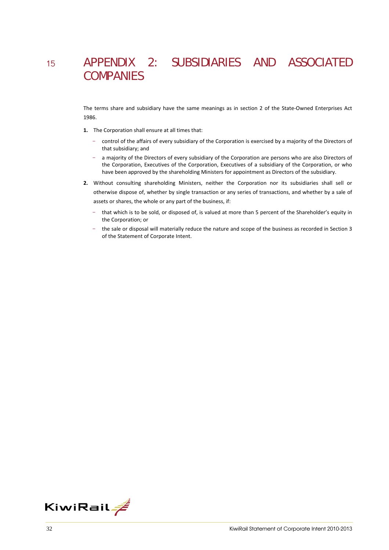## <sup>15</sup> APPENDIX 2: SUBSIDIARIES AND ASSOCIATED **COMPANIES**

The terms share and subsidiary have the same meanings as in section 2 of the State-Owned Enterprises Act 1986.

- **1.** The Corporation shall ensure at all times that:
	- control of the affairs of every subsidiary of the Corporation is exercised by a majority of the Directors of that subsidiary; and
	- a majority of the Directors of every subsidiary of the Corporation are persons who are also Directors of the Corporation, Executives of the Corporation, Executives of a subsidiary of the Corporation, or who have been approved by the shareholding Ministers for appointment as Directors of the subsidiary.
- **2.** Without consulting shareholding Ministers, neither the Corporation nor its subsidiaries shall sell or otherwise dispose of, whether by single transaction or any series of transactions, and whether by a sale of assets or shares, the whole or any part of the business, if:
	- that which is to be sold, or disposed of, is valued at more than 5 percent of the Shareholder's equity in the Corporation; or
	- the sale or disposal will materially reduce the nature and scope of the business as recorded in Section 3 of the Statement of Corporate Intent.

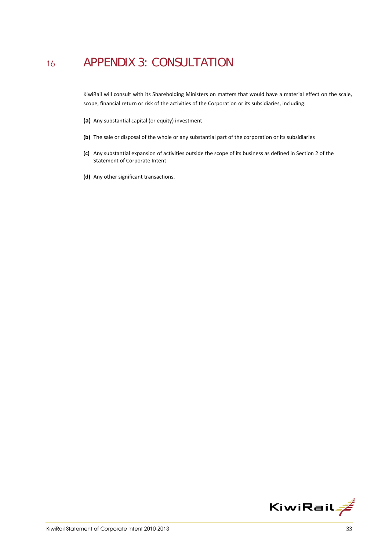## <sup>16</sup> APPENDIX 3: CONSULTATION

KiwiRail will consult with its Shareholding Ministers on matters that would have a material effect on the scale, scope, financial return or risk of the activities of the Corporation or its subsidiaries, including:

- **(a)** Any substantial capital (or equity) investment
- **(b)** The sale or disposal of the whole or any substantial part of the corporation or its subsidiaries
- **(c)** Any substantial expansion of activities outside the scope of its business as defined in Section 2 of the Statement of Corporate Intent
- **(d)** Any other significant transactions.